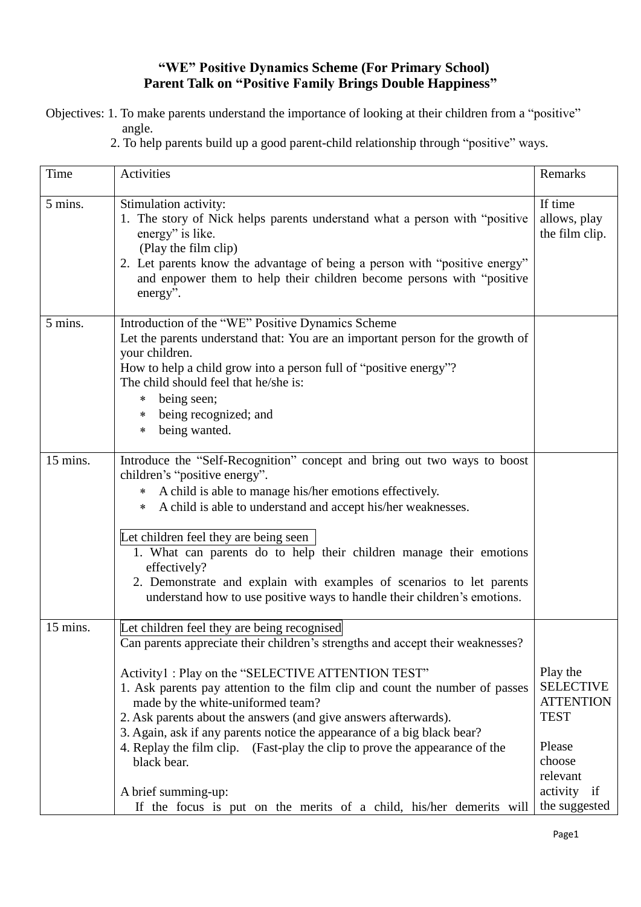## **"WE" Positive Dynamics Scheme (For Primary School) Parent Talk on "Positive Family Brings Double Happiness"**

Objectives: 1. To make parents understand the importance of looking at their children from a "positive" angle.

2. To help parents build up a good parent-child relationship through "positive" ways.

| Time     | Activities                                                                                                                                                                                                                                                                                                                                                                                                                                                                                                                                                                                                                                        | Remarks                                                                                                                         |
|----------|---------------------------------------------------------------------------------------------------------------------------------------------------------------------------------------------------------------------------------------------------------------------------------------------------------------------------------------------------------------------------------------------------------------------------------------------------------------------------------------------------------------------------------------------------------------------------------------------------------------------------------------------------|---------------------------------------------------------------------------------------------------------------------------------|
| 5 mins.  | Stimulation activity:<br>1. The story of Nick helps parents understand what a person with "positive"<br>energy" is like.<br>(Play the film clip)<br>2. Let parents know the advantage of being a person with "positive energy"<br>and enpower them to help their children become persons with "positive<br>energy".                                                                                                                                                                                                                                                                                                                               | If time<br>allows, play<br>the film clip.                                                                                       |
| 5 mins.  | Introduction of the "WE" Positive Dynamics Scheme<br>Let the parents understand that: You are an important person for the growth of<br>your children.<br>How to help a child grow into a person full of "positive energy"?<br>The child should feel that he/she is:<br>being seen;<br>∗<br>being recognized; and<br>∗<br>being wanted.<br>∗                                                                                                                                                                                                                                                                                                       |                                                                                                                                 |
| 15 mins. | Introduce the "Self-Recognition" concept and bring out two ways to boost<br>children's "positive energy".<br>A child is able to manage his/her emotions effectively.<br>$\ast$<br>* A child is able to understand and accept his/her weaknesses.<br>Let children feel they are being seen<br>1. What can parents do to help their children manage their emotions<br>effectively?<br>2. Demonstrate and explain with examples of scenarios to let parents<br>understand how to use positive ways to handle their children's emotions.                                                                                                              |                                                                                                                                 |
| 15 mins. | Let children feel they are being recognised<br>Can parents appreciate their children's strengths and accept their weaknesses?<br>Activity1: Play on the "SELECTIVE ATTENTION TEST"<br>1. Ask parents pay attention to the film clip and count the number of passes<br>made by the white-uniformed team?<br>2. Ask parents about the answers (and give answers afterwards).<br>3. Again, ask if any parents notice the appearance of a big black bear?<br>4. Replay the film clip. (Fast-play the clip to prove the appearance of the<br>black bear.<br>A brief summing-up:<br>If the focus is put on the merits of a child, his/her demerits will | Play the<br><b>SELECTIVE</b><br><b>ATTENTION</b><br><b>TEST</b><br>Please<br>choose<br>relevant<br>activity if<br>the suggested |